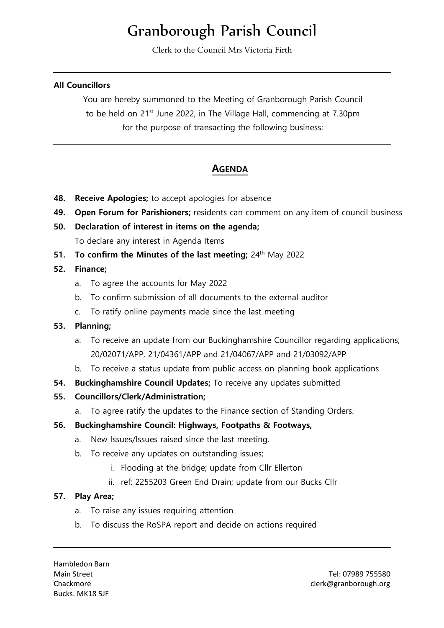# Granborough Parish Council

Clerk to the Council Mrs Victoria Firth

### **All Councillors**

You are hereby summoned to the Meeting of Granborough Parish Council to be held on 21<sup>st</sup> June 2022, in The Village Hall, commencing at 7.30pm for the purpose of transacting the following business:

# **AGENDA**

- **48. Receive Apologies;** to accept apologies for absence
- **49. Open Forum for Parishioners;** residents can comment on any item of council business
- **50. Declaration of interest in items on the agenda;** To declare any interest in Agenda Items
- **51. To confirm the Minutes of the last meeting;** 24<sup>th</sup> May 2022

# **52. Finance;**

- a. To agree the accounts for May 2022
- b. To confirm submission of all documents to the external auditor
- c. To ratify online payments made since the last meeting

#### **53. Planning;**

- a. To receive an update from our Buckinghamshire Councillor regarding applications; 20/02071/APP, 21/04361/APP and 21/04067/APP and 21/03092/APP
- b. To receive a status update from public access on planning book applications
- **54. Buckinghamshire Council Updates;** To receive any updates submitted

# **55. Councillors/Clerk/Administration;**

a. To agree ratify the updates to the Finance section of Standing Orders.

# **56. Buckinghamshire Council: Highways, Footpaths & Footways,**

- a. New Issues/Issues raised since the last meeting.
- b. To receive any updates on outstanding issues;
	- i. Flooding at the bridge; update from Cllr Ellerton
	- ii. ref: 2255203 Green End Drain; update from our Bucks Cllr

#### **57. Play Area;**

- a. To raise any issues requiring attention
- b. To discuss the RoSPA report and decide on actions required